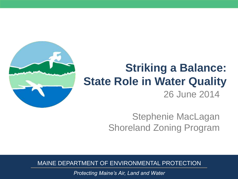

## 26 June 2014 **Striking a Balance: State Role in Water Quality**

### Stephenie MacLagan Shoreland Zoning Program

MAINE DEPARTMENT OF ENVIRONMENTAL PROTECTION

*Protecting Maine's Air, Land and Water*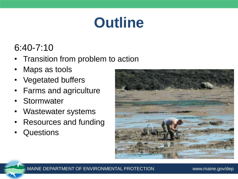# **Outline**

### 6:40-7:10

- Transition from problem to action
- Maps as tools
- Vegetated buffers
- Farms and agriculture
- Stormwater
- Wastewater systems
- Resources and funding
- **Questions**

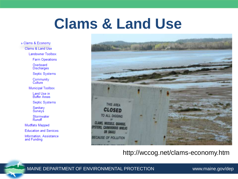## **Clams & Land Use**

» Clams & Economy Clams & Land Use **Landowner Toolbox Farm Operations** Overboard **Discharges** Septic Systems Community<br>Culture **Municipal Toolbox** Land Use in Buffer Areas **Septic Systems** Sanitary Surveys Stormwater Runoff Mudflats Mapped **Education and Services** Information, Assistance and Funding



#### http://wccog.net/clams-economy.htm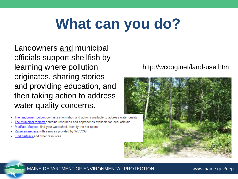# **What can you do?**

Landowners and municipal officials support shellfish by learning where pollution originates, sharing stories and providing education, and then taking action to address water quality concerns.

- The landowner toolbox contains information and actions available to address water quality  $\bullet$
- The municipal toolbox contains resources and approaches available for local officials ٠
- Mudflats Mapped--find your watershed, identify the hot spots ٠
- Raise awareness with services provided by WCCOG ٠
- Find partners and other resources  $\bullet$

### http://wccog.net/land-use.htm

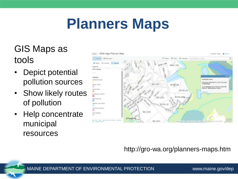## **Planners Maps**

## GIS Maps as tools

- **Depict potential** pollution sources
- Show likely routes of pollution
- Help concentrate municipal resources



http://gro-wa.org/planners-maps.htm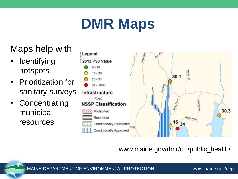# **DMR Maps**

Maps help with

- Identifying hotspots
- Prioritization for sanitary surveys
- Concentrating municipal resources



www.maine.gov/dmr/rm/public\_health/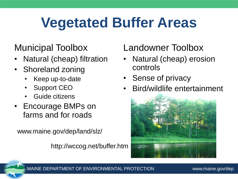# **Vegetated Buffer Areas**

## Municipal Toolbox

- Natural (cheap) filtration
- Shoreland zoning
	- Keep up-to-date
	- Support CEO
	- Guide citizens
- Encourage BMPs on farms and for roads

www.maine.gov/dep/land/slz/

http://wccog.net/buffer.htm

## Landowner Toolbox

- Natural (cheap) erosion controls
- Sense of privacy
- Bird/wildlife entertainment



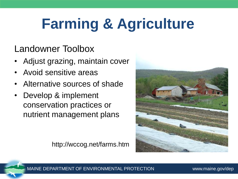# **Farming & Agriculture**

### Landowner Toolbox

- Adjust grazing, maintain cover
- Avoid sensitive areas
- Alternative sources of shade
- Develop & implement conservation practices or nutrient management plans

http://wccog.net/farms.htm



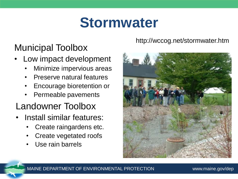## **Stormwater**

## Municipal Toolbox

- Low impact development
	- Minimize impervious areas
	- Preserve natural features
	- Encourage bioretention or
	- Permeable pavements

### Landowner Toolbox

- Install similar features:
	- Create raingardens etc.
	- Create vegetated roofs
	- Use rain barrels

### http://wccog.net/stormwater.htm

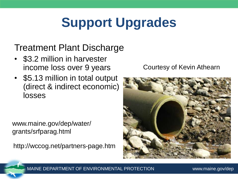## **Support Upgrades**

## Treatment Plant Discharge

- \$3.2 million in harvester income loss over 9 years
- \$5.13 million in total output (direct & indirect economic) losses

www.maine.gov/dep/water/ grants/srfparag.html

http://wccog.net/partners-page.htm

### Courtesy of Kevin Athearn



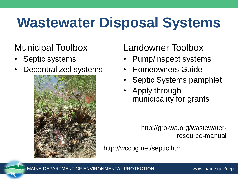## **Wastewater Disposal Systems**

## Municipal Toolbox

- Septic systems
- Decentralized systems



## Landowner Toolbox

- Pump/inspect systems
- Homeowners Guide
- Septic Systems pamphlet
- Apply through municipality for grants

http://gro-wa.org/wastewaterresource-manual

http://wccog.net/septic.htm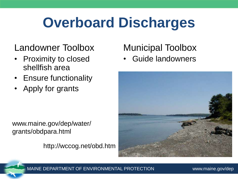## **Overboard Discharges**

### Landowner Toolbox

- Proximity to closed shellfish area
- Ensure functionality
- Apply for grants

www.maine.gov/dep/water/ grants/obdpara.html

http://wccog.net/obd.htm

## Municipal Toolbox

Guide landowners



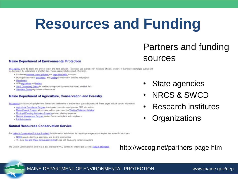## **Resources and Funding**

### Partners and funding sources

#### **Maine Department of Environmental Protection**

This agency aims to abate and prevent water and land pollution. Resources are available for municipal officials, owners of overboard discharges (OBD) and landowners in the watersheds of shellfish flats. These pages include

- · Landowner nonpoint squice pollution and vegetation buffer resources
- . Municipal wastewater discharges, and funding for wastewater facilities and projects
- Newsletters
- · OBD regulations and funding
- . Small Community Grants for malfunctioning septic systems that impact shellfish flats
- . Shoreland Zoning regulations and resources.

#### **Maine Department of Agriculture, Conservation and Forestry**

This agency assists municipal planners, farmers and landowners to ensure water quality is protected. These pages include contact information

- . Agricultural Compliance Program investigates complaints and provides BMP information
- . Maine Coastal Program administers multiple grants and the Working Waterfront Initiative
- . Municipal Planning Assistance Program provides planning expertise
- . Nutrient Management Program assists farmers with plans and compliance
- · Eul list of grants

#### **Natural Resources Conservation Service**

The flational Conservation Practice Standards list information and choices for choosing management strategies best suited for each farm.

- . NRCS provides technical assistance and funding opportunities
- . The local Soil and Water Conservation District helps with developing conservation plans

The District Conservationist for NRCS is also the local SWCD contact for Washington County: contact information

### State agencies

- NRCS & SWCD
- Research institutes
- **Organizations**

http://wccog.net/partners-page.htm

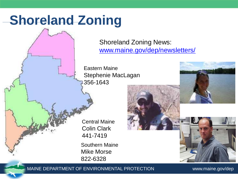## **Shoreland Zoning**

Shoreland Zoning News: [www.maine.gov/dep/newsletters/](http://www.maine.gov/dep/newsletters/)

Eastern Maine Stephenie MacLagan 356-1643

Central Maine Colin Clark 441-7419 Southern Maine Mike Morse 822-6328